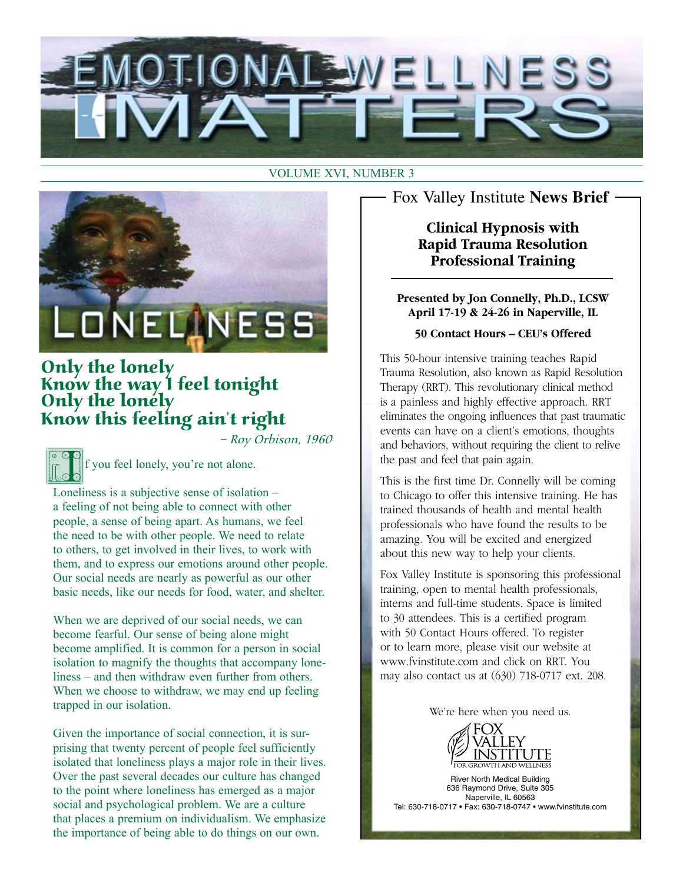

#### VOLUME XVI, NUMBER 3



## Only the lonely Know the way I feel tonight Only the lonely Know this feeling ain't right

– Roy Orbison, 1960



f you feel lonely, you're not alone.

Loneliness is a subjective sense of isolation – a feeling of not being able to connect with other people, a sense of being apart. As humans, we feel the need to be with other people. We need to relate to others, to get involved in their lives, to work with them, and to express our emotions around other people. Our social needs are nearly as powerful as our other basic needs, like our needs for food, water, and shelter.

When we are deprived of our social needs, we can become fearful. Our sense of being alone might become amplified. It is common for a person in social isolation to magnify the thoughts that accompany loneliness – and then withdraw even further from others. When we choose to withdraw, we may end up feeling trapped in our isolation.

Given the importance of social connection, it is surprising that twenty percent of people feel sufficiently isolated that loneliness plays a major role in their lives. Over the past several decades our culture has changed to the point where loneliness has emerged as a major social and psychological problem. We are a culture that places a premium on individualism. We emphasize the importance of being able to do things on our own.

Fox Valley Institute **News Brief**

## **Clinical Hypnosis with Rapid Trauma Resolution Professional Training**

**Presented by Jon Connelly, Ph.D., LCSW April 17-19 & 24-26 in Naperville, IL**

#### **50 Contact Hours – CEU's Offered**

This 50-hour intensive training teaches Rapid Trauma Resolution, also known as Rapid Resolution Therapy (RRT). This revolutionary clinical method is a painless and highly effective approach. RRT eliminates the ongoing influences that past traumatic events can have on a client's emotions, thoughts and behaviors, without requiring the client to relive the past and feel that pain again.

This is the first time Dr. Connelly will be coming to Chicago to offer this intensive training. He has trained thousands of health and mental health professionals who have found the results to be amazing. You will be excited and energized about this new way to help your clients.

Fox Valley Institute is sponsoring this professional training, open to mental health professionals, interns and full-time students. Space is limited to 30 attendees. This is a certified program with 50 Contact Hours offered. To register or to learn more, please visit our website at www.fvinstitute.com and click on RRT. You may also contact us at (630) 718-0717 ext. 208.

We're here when you need us.



River North Medical Building 636 Raymond Drive, Suite 305 Naperville, IL 60563 Tel: 630-718-0717 • Fax: 630-718-0747 • www.fvinstitute.com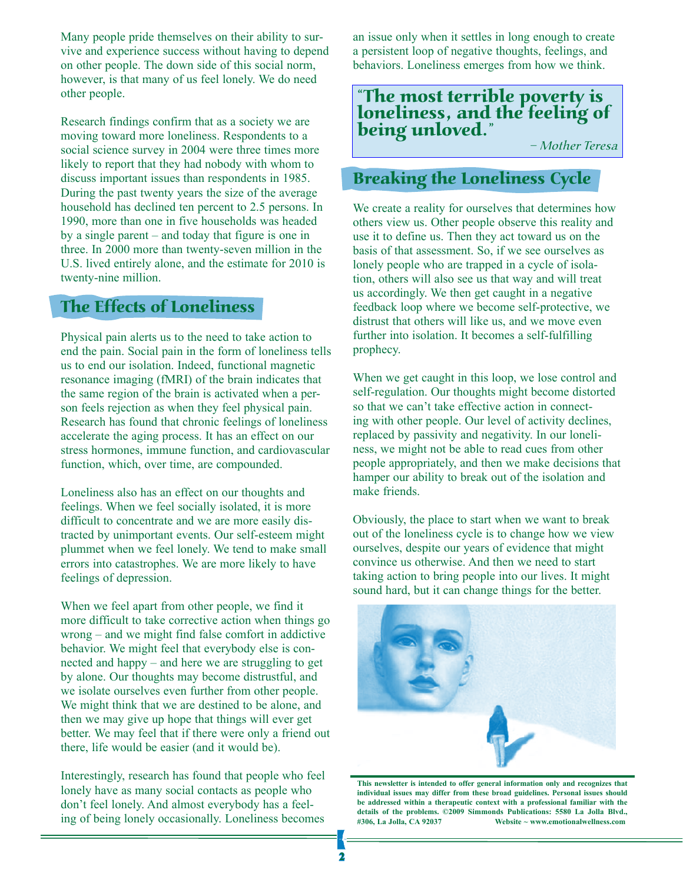Many people pride themselves on their ability to survive and experience success without having to depend on other people. The down side of this social norm, however, is that many of us feel lonely. We do need other people.

Research findings confirm that as a society we are moving toward more loneliness. Respondents to a social science survey in 2004 were three times more likely to report that they had nobody with whom to discuss important issues than respondents in 1985. During the past twenty years the size of the average household has declined ten percent to 2.5 persons. In 1990, more than one in five households was headed by a single parent – and today that figure is one in three. In 2000 more than twenty-seven million in the U.S. lived entirely alone, and the estimate for 2010 is twenty-nine million.

## The Effects of Loneliness

Physical pain alerts us to the need to take action to end the pain. Social pain in the form of loneliness tells us to end our isolation. Indeed, functional magnetic resonance imaging (fMRI) of the brain indicates that the same region of the brain is activated when a person feels rejection as when they feel physical pain. Research has found that chronic feelings of loneliness accelerate the aging process. It has an effect on our stress hormones, immune function, and cardiovascular function, which, over time, are compounded.

Loneliness also has an effect on our thoughts and feelings. When we feel socially isolated, it is more difficult to concentrate and we are more easily distracted by unimportant events. Our self-esteem might plummet when we feel lonely. We tend to make small errors into catastrophes. We are more likely to have feelings of depression.

When we feel apart from other people, we find it more difficult to take corrective action when things go wrong – and we might find false comfort in addictive behavior. We might feel that everybody else is connected and happy – and here we are struggling to get by alone. Our thoughts may become distrustful, and we isolate ourselves even further from other people. We might think that we are destined to be alone, and then we may give up hope that things will ever get better. We may feel that if there were only a friend out there, life would be easier (and it would be).

Interestingly, research has found that people who feel lonely have as many social contacts as people who don't feel lonely. And almost everybody has a feeling of being lonely occasionally. Loneliness becomes

an issue only when it settles in long enough to create a persistent loop of negative thoughts, feelings, and behaviors. Loneliness emerges from how we think.

## "The most terrible poverty is loneliness, and the feeling of being unloved."  $\overline{\phantom{a}}$  - Mother Teresa

## Breaking the Loneliness Cycle

We create a reality for ourselves that determines how others view us. Other people observe this reality and use it to define us. Then they act toward us on the basis of that assessment. So, if we see ourselves as lonely people who are trapped in a cycle of isolation, others will also see us that way and will treat us accordingly. We then get caught in a negative feedback loop where we become self-protective, we distrust that others will like us, and we move even further into isolation. It becomes a self-fulfilling prophecy.

When we get caught in this loop, we lose control and self-regulation. Our thoughts might become distorted so that we can't take effective action in connecting with other people. Our level of activity declines, replaced by passivity and negativity. In our loneliness, we might not be able to read cues from other people appropriately, and then we make decisions that hamper our ability to break out of the isolation and make friends.

Obviously, the place to start when we want to break out of the loneliness cycle is to change how we view ourselves, despite our years of evidence that might convince us otherwise. And then we need to start taking action to bring people into our lives. It might sound hard, but it can change things for the better.



**This newsletter is intended to offer general information only and recognizes that individual issues may differ from these broad guidelines. Personal issues should be addressed within a therapeutic context with a professional familiar with the details of the problems. ©2009 Simmonds Publications: 5580 La Jolla Blvd., #306, La Jolla, CA 92037 Website ~ www.emotionalwellness.com**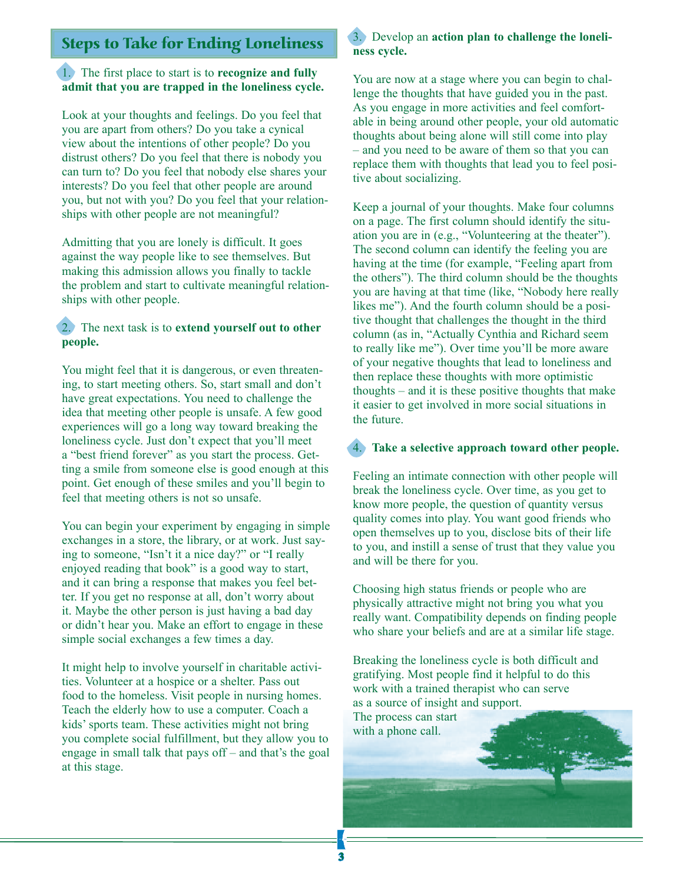## Steps to Take for Ending Loneliness

### 1. The first place to start is to **recognize and fully admit that you are trapped in the loneliness cycle.**

Look at your thoughts and feelings. Do you feel that you are apart from others? Do you take a cynical view about the intentions of other people? Do you distrust others? Do you feel that there is nobody you can turn to? Do you feel that nobody else shares your interests? Do you feel that other people are around you, but not with you? Do you feel that your relationships with other people are not meaningful?

Admitting that you are lonely is difficult. It goes against the way people like to see themselves. But making this admission allows you finally to tackle the problem and start to cultivate meaningful relationships with other people.

#### 2. The next task is to **extend yourself out to other people.**

You might feel that it is dangerous, or even threatening, to start meeting others. So, start small and don't have great expectations. You need to challenge the idea that meeting other people is unsafe. A few good experiences will go a long way toward breaking the loneliness cycle. Just don't expect that you'll meet a "best friend forever" as you start the process. Getting a smile from someone else is good enough at this point. Get enough of these smiles and you'll begin to feel that meeting others is not so unsafe.

You can begin your experiment by engaging in simple exchanges in a store, the library, or at work. Just saying to someone, "Isn't it a nice day?" or "I really enjoyed reading that book" is a good way to start, and it can bring a response that makes you feel better. If you get no response at all, don't worry about it. Maybe the other person is just having a bad day or didn't hear you. Make an effort to engage in these simple social exchanges a few times a day.

It might help to involve yourself in charitable activities. Volunteer at a hospice or a shelter. Pass out food to the homeless. Visit people in nursing homes. Teach the elderly how to use a computer. Coach a kids' sports team. These activities might not bring you complete social fulfillment, but they allow you to engage in small talk that pays off – and that's the goal at this stage.

#### 3. Develop an **action plan to challenge the loneliness cycle.**

You are now at a stage where you can begin to challenge the thoughts that have guided you in the past. As you engage in more activities and feel comfortable in being around other people, your old automatic thoughts about being alone will still come into play – and you need to be aware of them so that you can replace them with thoughts that lead you to feel positive about socializing.

Keep a journal of your thoughts. Make four columns on a page. The first column should identify the situation you are in (e.g., "Volunteering at the theater"). The second column can identify the feeling you are having at the time (for example, "Feeling apart from the others"). The third column should be the thoughts you are having at that time (like, "Nobody here really likes me"). And the fourth column should be a positive thought that challenges the thought in the third column (as in, "Actually Cynthia and Richard seem to really like me"). Over time you'll be more aware of your negative thoughts that lead to loneliness and then replace these thoughts with more optimistic thoughts – and it is these positive thoughts that make it easier to get involved in more social situations in the future.

### Take a selective approach toward other people.

Feeling an intimate connection with other people will break the loneliness cycle. Over time, as you get to know more people, the question of quantity versus quality comes into play. You want good friends who open themselves up to you, disclose bits of their life to you, and instill a sense of trust that they value you and will be there for you.

Choosing high status friends or people who are physically attractive might not bring you what you really want. Compatibility depends on finding people who share your beliefs and are at a similar life stage.

Breaking the loneliness cycle is both difficult and gratifying. Most people find it helpful to do this work with a trained therapist who can serve as a source of insight and support.

The process can start with a phone call.